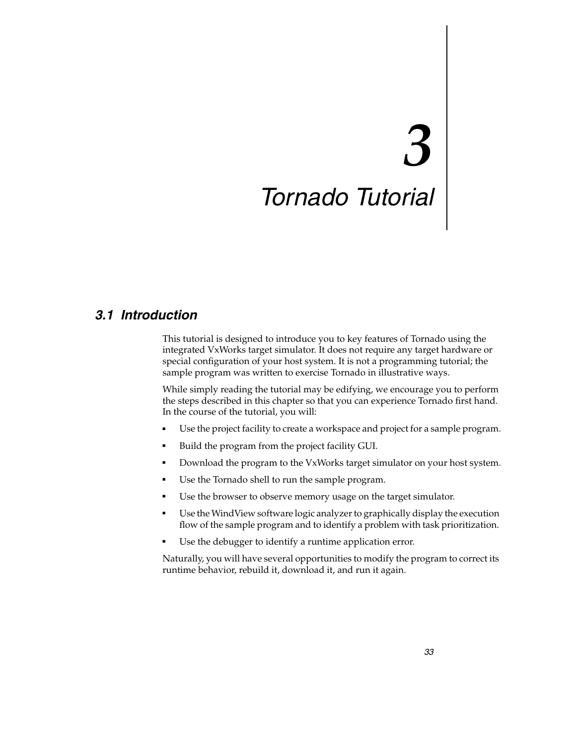# *3 Tornado Tutorial*

## *3.1 Introduction*

This tutorial is designed to introduce you to key features of Tornado using the integrated VxWorks target simulator. It does not require any target hardware or special configuration of your host system. It is not a programming tutorial; the sample program was written to exercise Tornado in illustrative ways.

While simply reading the tutorial may be edifying, we encourage you to perform the steps described in this chapter so that you can experience Tornado first hand. In the course of the tutorial, you will:

- Use the project facility to create a workspace and project for a sample program.
- Build the program from the project facility GUI.
- Download the program to the VxWorks target simulator on your host system.
- Use the Tornado shell to run the sample program.
- Use the browser to observe memory usage on the target simulator.
- Use the WindView software logic analyzer to graphically display the execution flow of the sample program and to identify a problem with task prioritization.
- Use the debugger to identify a runtime application error.

Naturally, you will have several opportunities to modify the program to correct its runtime behavior, rebuild it, download it, and run it again.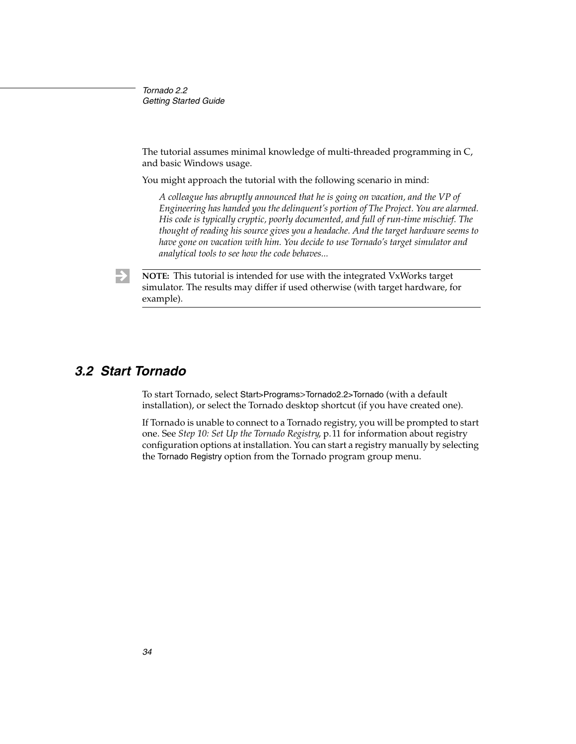The tutorial assumes minimal knowledge of multi-threaded programming in C, and basic Windows usage.

You might approach the tutorial with the following scenario in mind:

*A colleague has abruptly announced that he is going on vacation, and the VP of Engineering has handed you the delinquent's portion of The Project. You are alarmed. His code is typically cryptic, poorly documented, and full of run-time mischief. The thought of reading his source gives you a headache. And the target hardware seems to have gone on vacation with him. You decide to use Tornado's target simulator and analytical tools to see how the code behaves...*



**NOTE:** This tutorial is intended for use with the integrated VxWorks target simulator. The results may differ if used otherwise (with target hardware, for example).

#### *3.2 Start Tornado*

To start Tornado, select Start>Programs>Tornado2.2>Tornado (with a default installation), or select the Tornado desktop shortcut (if you have created one).

If Tornado is unable to connect to a Tornado registry, you will be prompted to start one. See *Step 10: Set Up the Tornado Registry*, p.11 for information about registry configuration options at installation. You can start a registry manually by selecting the Tornado Registry option from the Tornado program group menu.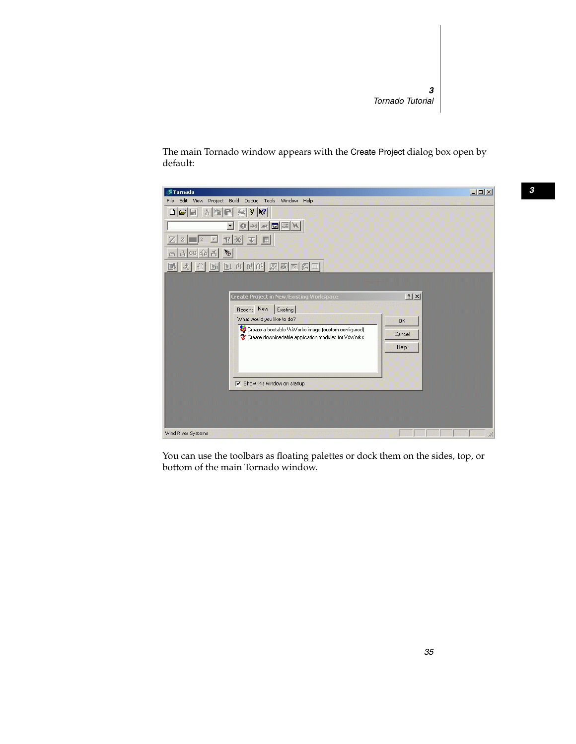The main Tornado window appears with the Create Project dialog box open by default:



You can use the toolbars as floating palettes or dock them on the sides, top, or bottom of the main Tornado window.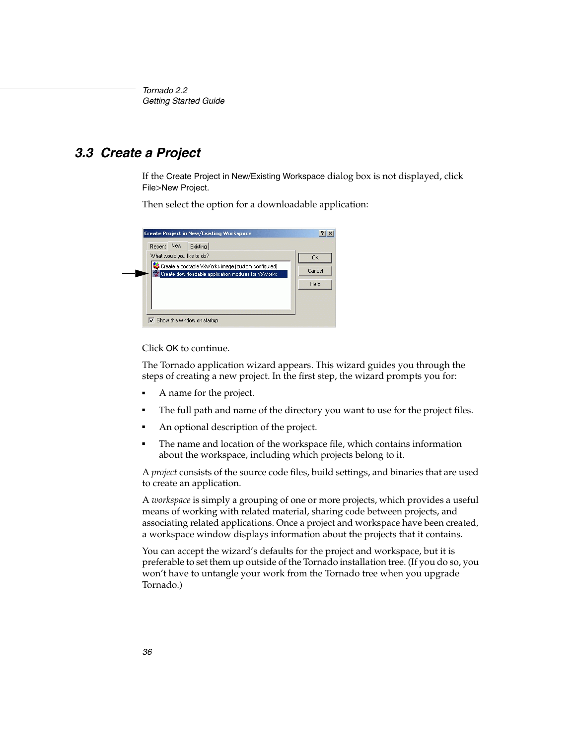# *3.3 Create a Project*

If the Create Project in New/Existing Workspace dialog box is not displayed, click File>New Project.

Then select the option for a downloadable application:

| <b>Create Project in New/Existing Workspace</b>                                                            | $?$   $\times$ |
|------------------------------------------------------------------------------------------------------------|----------------|
| Recent New<br>Existing                                                                                     |                |
| What would you like to do?                                                                                 | OK             |
| Create a bootable VxWorks image (custom configured)<br>Create downloadable application modules for VxWorks | Cancel         |
|                                                                                                            | Help           |
|                                                                                                            |                |
|                                                                                                            |                |
| $\nabla$ Show this window on startup                                                                       |                |

Click OK to continue.

The Tornado application wizard appears. This wizard guides you through the steps of creating a new project. In the first step, the wizard prompts you for:

- A name for the project.
- The full path and name of the directory you want to use for the project files.
- An optional description of the project.
- The name and location of the workspace file, which contains information about the workspace, including which projects belong to it.

A *project* consists of the source code files, build settings, and binaries that are used to create an application.

A *workspace* is simply a grouping of one or more projects, which provides a useful means of working with related material, sharing code between projects, and associating related applications. Once a project and workspace have been created, a workspace window displays information about the projects that it contains.

You can accept the wizard's defaults for the project and workspace, but it is preferable to set them up outside of the Tornado installation tree. (If you do so, you won't have to untangle your work from the Tornado tree when you upgrade Tornado.)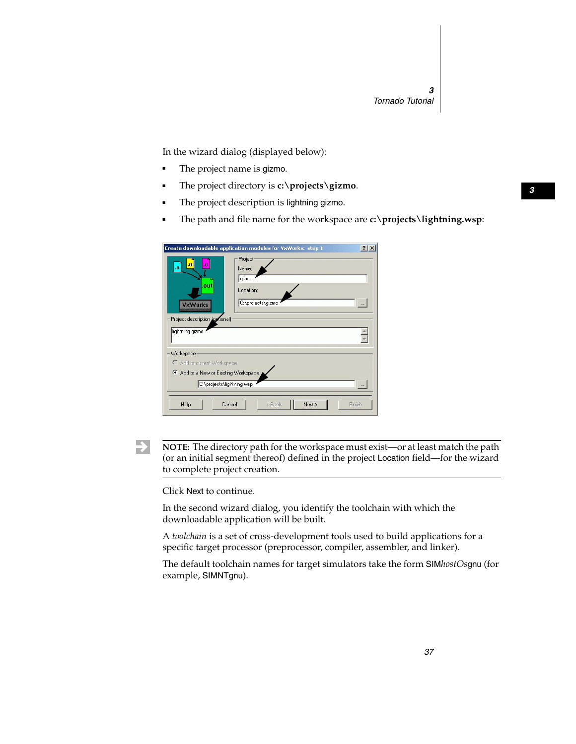In the wizard dialog (displayed below):

- The project name is gizmo.
- The project directory is **c:\projects\gizmo**.
- The project description is lightning gizmo.
- The path and file name for the workspace are **c:\projects\lightning.wsp**:

|                                          | ? x<br>Create downloadable application modules for VxWorks: step 1 |
|------------------------------------------|--------------------------------------------------------------------|
| $\bf{0}$<br>$\mathbf{0}$<br>$\bf{0}$     | Project<br>Name:<br>gizmo                                          |
| .out<br><b>VxWorks</b>                   | Location:<br>C:\projects\gizmo<br>$\ldots$                         |
| Project description (optional)           |                                                                    |
| lightning gizmo                          |                                                                    |
| Workspace<br>C Add to current Workspace  |                                                                    |
| Add to a New or Existing Workspace<br>G. |                                                                    |
| C:\projects\lightning.wsp                |                                                                    |
| Help<br>Cancel                           | Next ><br>< Back<br>Finish                                         |

 $\blacktriangleright$ 

**NOTE:** The directory path for the workspace must exist—or at least match the path (or an initial segment thereof) defined in the project Location field—for the wizard to complete project creation.

Click Next to continue.

In the second wizard dialog, you identify the toolchain with which the downloadable application will be built.

A *toolchain* is a set of cross-development tools used to build applications for a specific target processor (preprocessor, compiler, assembler, and linker).

The default toolchain names for target simulators take the form SIM*hostOs*gnu (for example, SIMNTgnu).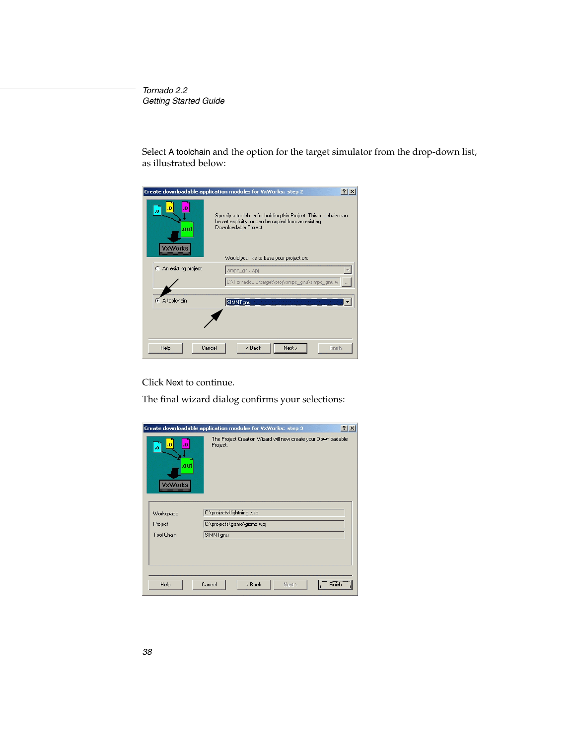Select A toolchain and the option for the target simulator from the drop-down list, as illustrated below:

|                                          | $ ?  \times$<br>Create downloadable application modules for VxWorks: step 2                                                                                                                   |
|------------------------------------------|-----------------------------------------------------------------------------------------------------------------------------------------------------------------------------------------------|
| $\bf{0}$<br>.n<br>.out<br><b>VxWorks</b> | Specify a toolchain for building this Project. This toolchain can<br>be set explicitly, or can be copied from an existing<br>Downloadable Project.<br>Would you like to base your project on: |
| An existing project                      | simpc_gnu.wpj                                                                                                                                                                                 |
|                                          |                                                                                                                                                                                               |
|                                          | C:\Tornado2.2\target\proj\simpc_gnu\simpc_gnu.w_                                                                                                                                              |
|                                          |                                                                                                                                                                                               |
| C A toolchain                            | SIMNTgnu                                                                                                                                                                                      |
|                                          |                                                                                                                                                                                               |
|                                          |                                                                                                                                                                                               |
|                                          |                                                                                                                                                                                               |
| Help<br>Cancel                           | < Back<br>Next ><br>Finish                                                                                                                                                                    |

Click Next to continue.

The final wizard dialog confirms your selections:

| 2x<br>Create downloadable application modules for VxWorks: step 3 |                                                                           |  |
|-------------------------------------------------------------------|---------------------------------------------------------------------------|--|
| $\bf{0}$<br>$\cdot$ <sub>0</sub><br>.o<br>.out<br><b>VxWorks</b>  | The Project Creation Wizard will now create your Downloadable<br>Project. |  |
| Workspace<br>Project<br><b>Tool Chain</b>                         | C:\projects\lightning.wsp<br>C:\projects\gizmo\gizmo.wpj<br>SIMNTgnu      |  |
|                                                                   | Finish <sup>"</sup>                                                       |  |
| Help                                                              | Cancel<br>< Back<br>Next >                                                |  |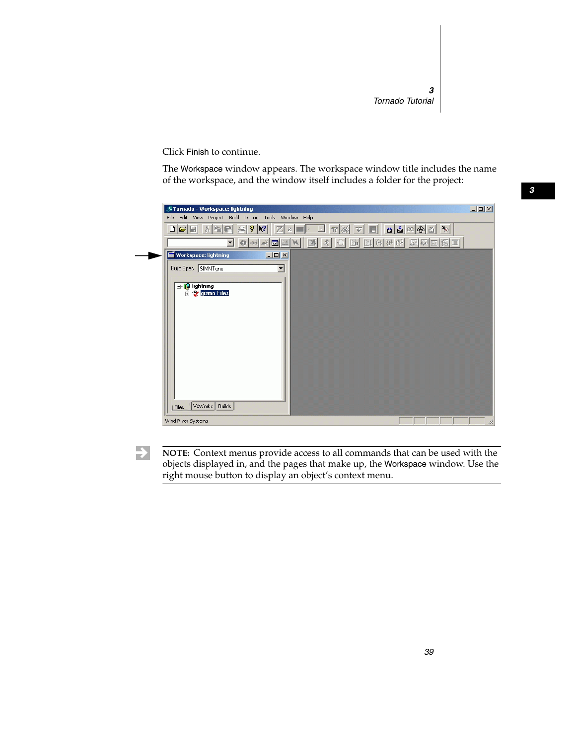Click Finish to continue.

The Workspace window appears. The workspace window title includes the name of the workspace, and the window itself includes a folder for the project:



 $\blacktriangleright$ 

**NOTE:** Context menus provide access to all commands that can be used with the objects displayed in, and the pages that make up, the Workspace window. Use the right mouse button to display an object's context menu.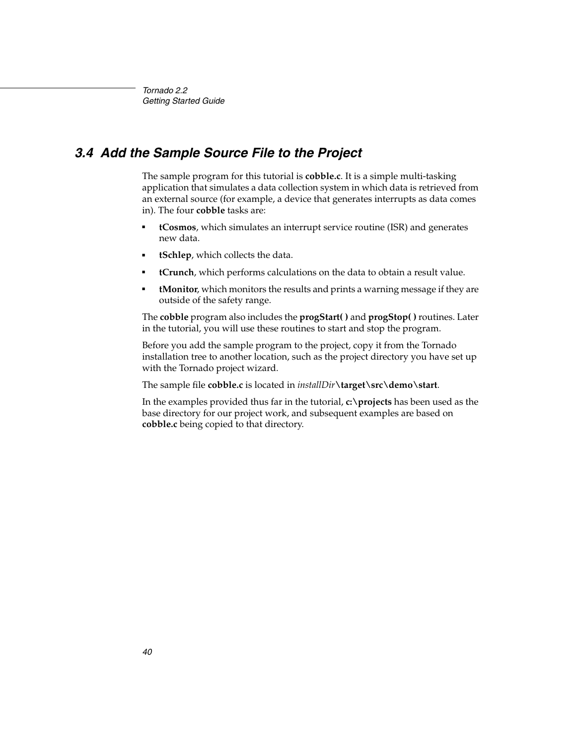# *3.4 Add the Sample Source File to the Project*

The sample program for this tutorial is **cobble.c**. It is a simple multi-tasking application that simulates a data collection system in which data is retrieved from an external source (for example, a device that generates interrupts as data comes in). The four **cobble** tasks are:

- **tCosmos**, which simulates an interrupt service routine (ISR) and generates new data.
- **tSchlep**, which collects the data.
- **tCrunch**, which performs calculations on the data to obtain a result value.
- **tMonitor**, which monitors the results and prints a warning message if they are outside of the safety range.

The **cobble** program also includes the **progStart( )** and **progStop( )** routines. Later in the tutorial, you will use these routines to start and stop the program.

Before you add the sample program to the project, copy it from the Tornado installation tree to another location, such as the project directory you have set up with the Tornado project wizard.

The sample file **cobble.c** is located in *installDir***\target\src\demo\start**.

In the examples provided thus far in the tutorial, **c:\projects** has been used as the base directory for our project work, and subsequent examples are based on **cobble.c** being copied to that directory.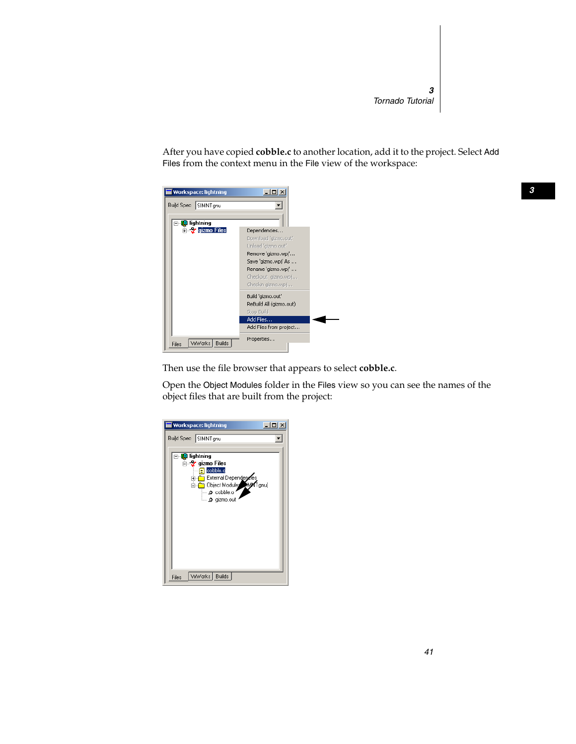After you have copied **cobble.c** to another location, add it to the project. Select Add Files from the context menu in the File view of the workspace:

| <b>Workspace: lightning</b> |                                                                                                                                                                            |
|-----------------------------|----------------------------------------------------------------------------------------------------------------------------------------------------------------------------|
| Build Spec SIMNT gnu        |                                                                                                                                                                            |
| <b>B</b> lightning          |                                                                                                                                                                            |
| <b>Electric Contracts</b>   | Dependencies<br>Download 'gizmo.out'<br>Unload 'gizmo.out'<br>Remove 'gizmo.wpj'<br>Save 'qizmo.wpj' As<br>Rename 'gizmo.wpj'<br>Checkout gizmo, wpj<br>Checkin gizmo, wpj |
|                             | Build 'gizmo.out'<br>ReBuild All (gizmo.out)<br>Stop Build                                                                                                                 |
|                             | Add Files<br>Add Files from project                                                                                                                                        |
|                             |                                                                                                                                                                            |
| VxWorks Builds<br>Files     | Properties                                                                                                                                                                 |

Then use the file browser that appears to select **cobble.c**.

Open the Object Modules folder in the Files view so you can see the names of the object files that are built from the project:

| Workspace: lightning                                                                                                                                                  |
|-----------------------------------------------------------------------------------------------------------------------------------------------------------------------|
| Build Spec SIMNT gnu                                                                                                                                                  |
| ⊟… <mark>[</mark> 0 lightning<br>d— 2 gizmo Files<br>cobble.c<br>ſΞ<br>External Dependences<br>Object Modules MMY Tgnu]<br>Ėŀ<br>$\bullet$ cobble.o<br>L. O gizmo.out |
| VxWorks   Builds<br>Files                                                                                                                                             |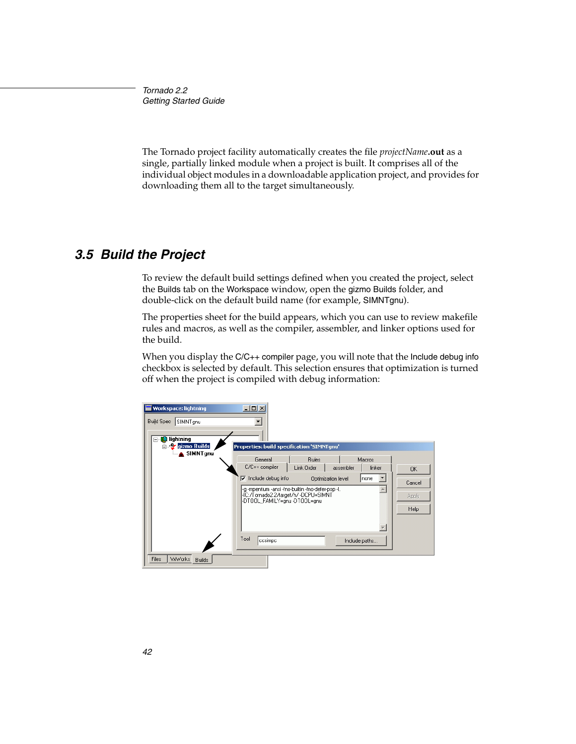The Tornado project facility automatically creates the file *projectName***.out** as a single, partially linked module when a project is built. It comprises all of the individual object modules in a downloadable application project, and provides for downloading them all to the target simultaneously.

#### *3.5 Build the Project*

To review the default build settings defined when you created the project, select the Builds tab on the Workspace window, open the gizmo Builds folder, and double-click on the default build name (for example, SIMNTgnu).

The properties sheet for the build appears, which you can use to review makefile rules and macros, as well as the compiler, assembler, and linker options used for the build.

When you display the C/C++ compiler page, you will note that the Include debug info checkbox is selected by default. This selection ensures that optimization is turned off when the project is compiled with debug information:

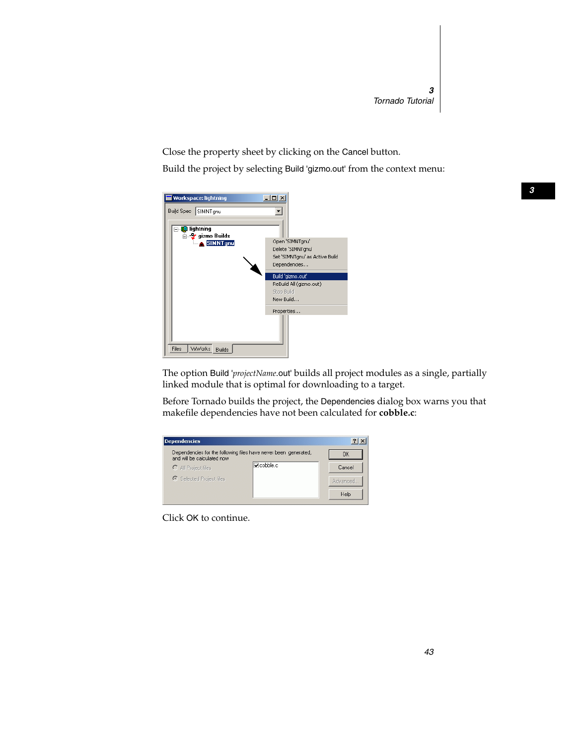Close the property sheet by clicking on the Cancel button.

Build the project by selecting Build 'gizmo.out' from the context menu:

| <b>Workspace: lightning</b><br>Build Spec SIMNT gnu              |                                                                                        |
|------------------------------------------------------------------|----------------------------------------------------------------------------------------|
| <b>B</b> lightning<br>⊟… 2⁄ gizmo Builds<br>SIMNT <sub>gnu</sub> | Open 'SIMNTgnu'<br>Delete 'SIMNTgnu'<br>Set 'SIMNTgnu' as Active Build<br>Dependencies |
|                                                                  | Build 'gizmo.out'<br>ReBuild All (gizmo.out)<br>Stop Build<br>New Build                |
| VxWorks<br><b>Files</b><br>Builds                                | Properties                                                                             |

The option Build '*projectName*.out' builds all project modules as a single, partially linked module that is optimal for downloading to a target.

Before Tornado builds the project, the Dependencies dialog box warns you that makefile dependencies have not been calculated for **cobble.c**:



Click OK to continue.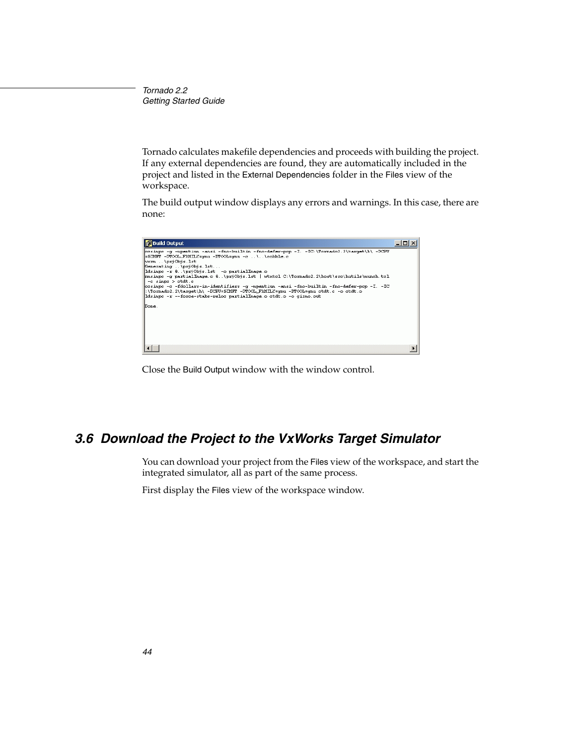Tornado calculates makefile dependencies and proceeds with building the project. If any external dependencies are found, they are automatically included in the project and listed in the External Dependencies folder in the Files view of the workspace.

The build output window displays any errors and warnings. In this case, there are none:



Close the Build Output window with the window control.

# *3.6 Download the Project to the VxWorks Target Simulator*

You can download your project from the Files view of the workspace, and start the integrated simulator, all as part of the same process.

First display the Files view of the workspace window.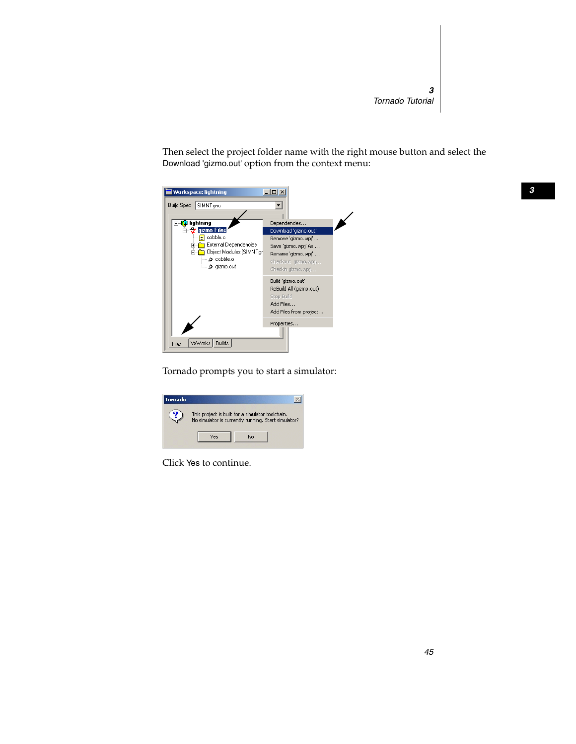Then select the project folder name with the right mouse button and select the Download 'gizmo.out' option from the context menu:

| <b>Workspace: lightning</b>                                                                                                              |                                                                                                                                                      |
|------------------------------------------------------------------------------------------------------------------------------------------|------------------------------------------------------------------------------------------------------------------------------------------------------|
| <b>Build Spec</b><br>SIMNT <sub>anu</sub>                                                                                                |                                                                                                                                                      |
|                                                                                                                                          |                                                                                                                                                      |
| lightning<br>mo<br><b>Z</b> gizmo Files<br>cobble.c<br>E<br>External Dependencies<br>田<br>Object Modules [SIMNTgr]<br>$\bullet$ cobble.o | Dependencies<br>Download 'gizmo.out'<br>Remove 'gizmo.wpj'<br>Save 'qizmo.wpj' As<br>Rename 'qizmo.wpj'<br>Checkout gizmo, wpj<br>Checkin gizmo, wpj |
|                                                                                                                                          | Build 'gizmo.out'<br>ReBuild All (gizmo.out)<br>Stop Build<br>Add Files<br>Add Files from project                                                    |
| VxWorks   Builds<br>Files                                                                                                                | Properties                                                                                                                                           |

Tornado prompts you to start a simulator:

| Tornado |                                                                                                         |
|---------|---------------------------------------------------------------------------------------------------------|
|         | This project is built for a simulator toolchain.<br>No simulator is currently running. Start simulator? |
|         | Nn                                                                                                      |

Click Yes to continue.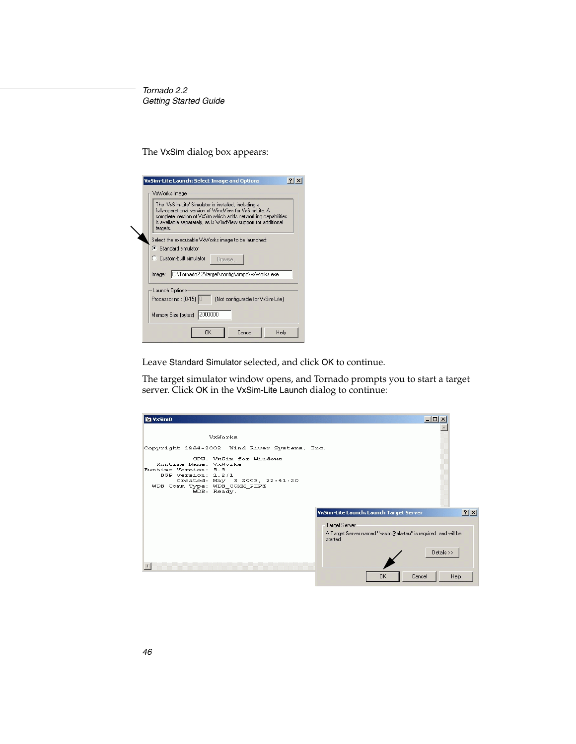The VxSim dialog box appears:

| <b>VxSim-Lite Launch: Select Image and Options</b>                                                                                                                                                                                                            |  |  |
|---------------------------------------------------------------------------------------------------------------------------------------------------------------------------------------------------------------------------------------------------------------|--|--|
| VxWorks Image                                                                                                                                                                                                                                                 |  |  |
| The 'VxSim-Lite' Simulator is installed, including a<br>fully-operational version of WindView for VxSim-Lite. A<br>complete version of VxSim which adds networking capabilities<br>is available separately, as is WindView support for additional<br>targets. |  |  |
| Select the executable VxWorks image to be launched:                                                                                                                                                                                                           |  |  |
| G Standard simulator                                                                                                                                                                                                                                          |  |  |
| C. Custom-built simulator<br>Browse                                                                                                                                                                                                                           |  |  |
| C:\Tomado2.2\target\config\simpc\vxWorks.exe<br>Image:                                                                                                                                                                                                        |  |  |
| Launch Options                                                                                                                                                                                                                                                |  |  |
| Processor no.: (0-15) 0<br>(Not configurable for VxSim-Lite)                                                                                                                                                                                                  |  |  |
| Memory Size (bytes) 2000000                                                                                                                                                                                                                                   |  |  |
| OK<br>Cancel<br>Help                                                                                                                                                                                                                                          |  |  |

Leave Standard Simulator selected, and click OK to continue.

The target simulator window opens, and Tornado prompts you to start a target server. Click OK in the VxSim-Lite Launch dialog to continue:

| <b>DE VxSimO</b>                                                                                                                                                                                                              | $ $ $ $ $ $ $ $ $ $ $\times$                                                                                                                                          |
|-------------------------------------------------------------------------------------------------------------------------------------------------------------------------------------------------------------------------------|-----------------------------------------------------------------------------------------------------------------------------------------------------------------------|
| VxWorks                                                                                                                                                                                                                       |                                                                                                                                                                       |
| Copyright 1984-2002 Wind River Systems, Inc.<br>CPU: VxSim for Windows<br>Runtime Name: VxMorks<br>Runtime Version: 5.5<br>BSP version: 1.2/1<br>Created: May 3 2002, 22:41:20<br>WDB Comm Type: WDB_COMM_PIPE<br>WDB: Ready. |                                                                                                                                                                       |
|                                                                                                                                                                                                                               | ? X <br><b>VxSim-Lite Launch: Launch Target Server</b><br>– Target Server-<br>A Target Server named "vxsim@ala-tau" is required and will be<br>started.<br>Details >> |
|                                                                                                                                                                                                                               | OK.<br>Cancel<br><b>Help</b>                                                                                                                                          |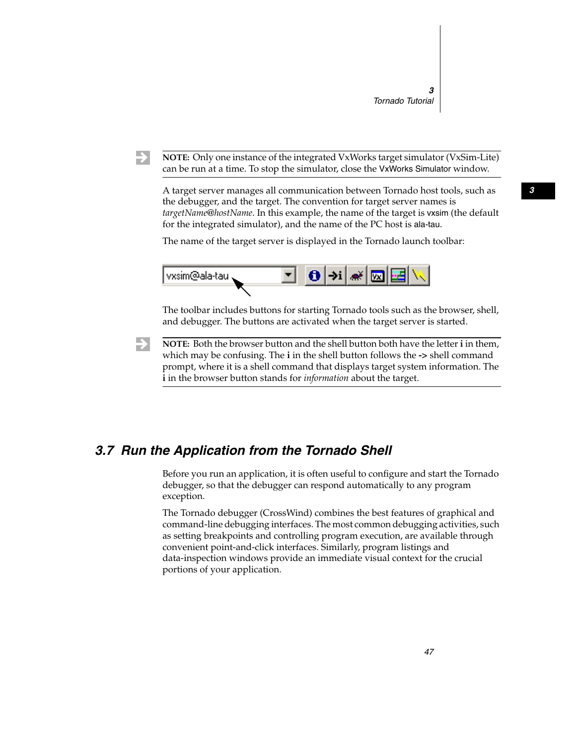$\rightarrow$ 

**NOTE:** Only one instance of the integrated VxWorks target simulator (VxSim-Lite) can be run at a time. To stop the simulator, close the VxWorks Simulator window.

A target server manages all communication between Tornado host tools, such as the debugger, and the target. The convention for target server names is *targetName*@*hostName*. In this example, the name of the target is vxsim (the default for the integrated simulator), and the name of the PC host is ala-tau.

The name of the target server is displayed in the Tornado launch toolbar:



The toolbar includes buttons for starting Tornado tools such as the browser, shell, and debugger. The buttons are activated when the target server is started.

 $\rightarrow$ **NOTE:** Both the browser button and the shell button both have the letter **i** in them, which may be confusing. The **i** in the shell button follows the **->** shell command prompt, where it is a shell command that displays target system information. The **i** in the browser button stands for *information* about the target.

## *3.7 Run the Application from the Tornado Shell*

Before you run an application, it is often useful to configure and start the Tornado debugger, so that the debugger can respond automatically to any program exception.

The Tornado debugger (CrossWind) combines the best features of graphical and command-line debugging interfaces. The most common debugging activities, such as setting breakpoints and controlling program execution, are available through convenient point-and-click interfaces. Similarly, program listings and data-inspection windows provide an immediate visual context for the crucial portions of your application.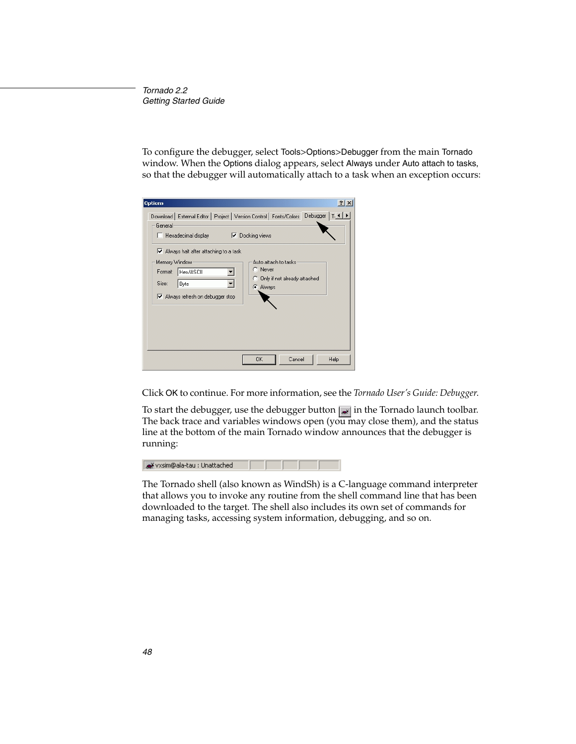To configure the debugger, select Tools>Options>Debugger from the main Tornado window. When the Options dialog appears, select Always under Auto attach to tasks, so that the debugger will automatically attach to a task when an exception occurs:

| $?$ $\times$<br><b>Options</b>                                                                                                                                                                    |
|---------------------------------------------------------------------------------------------------------------------------------------------------------------------------------------------------|
| Download External Editor   Project   Version Control   Fonts/Colors   Debugger   Ti 1   ▶<br>General:<br>□ Docking views<br>$\Box$ Hexadecimal display<br>■ Always halt after attaching to a task |
| Memory Window<br>Auto attach to tasks.<br>C Never<br>Hex/ASCII<br>Format:<br>C Only if not already attached<br>Size:<br>Byte<br>C Always<br>Always refresh on debugger stop                       |
| Cancel<br>0K<br>Help                                                                                                                                                                              |

Click OK to continue. For more information, see the *Tornado User's Guide: Debugger*.

To start the debugger, use the debugger button  $\mathbf{a}$  in the Tornado launch toolbar. The back trace and variables windows open (you may close them), and the status line at the bottom of the main Tornado window announces that the debugger is running:



The Tornado shell (also known as WindSh) is a C-language command interpreter that allows you to invoke any routine from the shell command line that has been downloaded to the target. The shell also includes its own set of commands for managing tasks, accessing system information, debugging, and so on.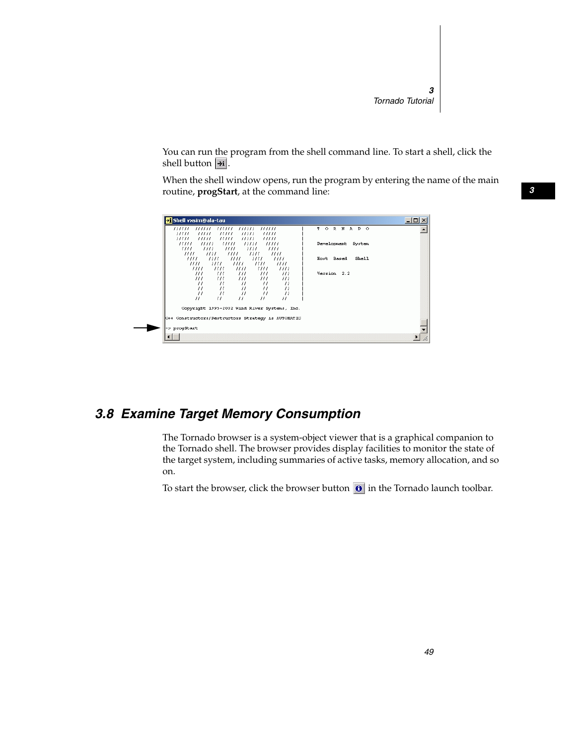You can run the program from the shell command line. To start a shell, click the shell button  $|\rightarrow i|$ .

When the shell window opens, run the program by entering the name of the main routine, **progStart**, at the command line:



# *3.8 Examine Target Memory Consumption*

The Tornado browser is a system-object viewer that is a graphical companion to the Tornado shell. The browser provides display facilities to monitor the state of the target system, including summaries of active tasks, memory allocation, and so on.

To start the browser, click the browser button  $\theta$  in the Tornado launch toolbar.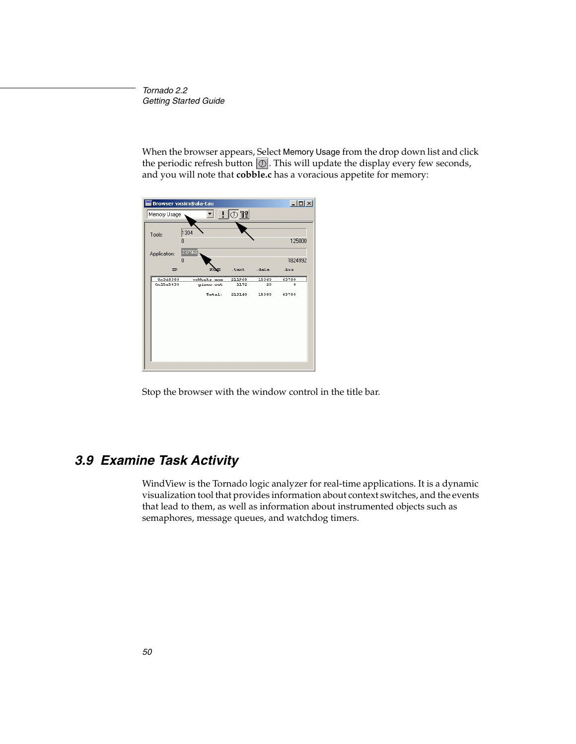When the browser appears, Select Memory Usage from the drop down list and click the periodic refresh button  $\mathcal{O}$ . This will update the display every few seconds, and you will note that **cobble.c** has a voracious appetite for memory:

| Browser vxsim@ala-tau |        |                           |                               |                     |  |
|-----------------------|--------|---------------------------|-------------------------------|---------------------|--|
| Memory Usage          |        |                           |                               |                     |  |
| 1304                  |        |                           |                               |                     |  |
| 237968                |        |                           |                               | 125000              |  |
| n                     |        |                           |                               | 1824992             |  |
|                       |        | . text                    | . data                        | .bss                |  |
| 0x3d8380<br>0x15e5838 | Total: | 211968<br>1172<br>213140  | 15360<br>20<br>15380          | 63708<br>n<br>63708 |  |
|                       | n      | videoxks.exe<br>gizmo.out | $\frac{1}{2}$ 0 $\frac{1}{2}$ |                     |  |

Stop the browser with the window control in the title bar.

## *3.9 Examine Task Activity*

WindView is the Tornado logic analyzer for real-time applications. It is a dynamic visualization tool that provides information about context switches, and the events that lead to them, as well as information about instrumented objects such as semaphores, message queues, and watchdog timers.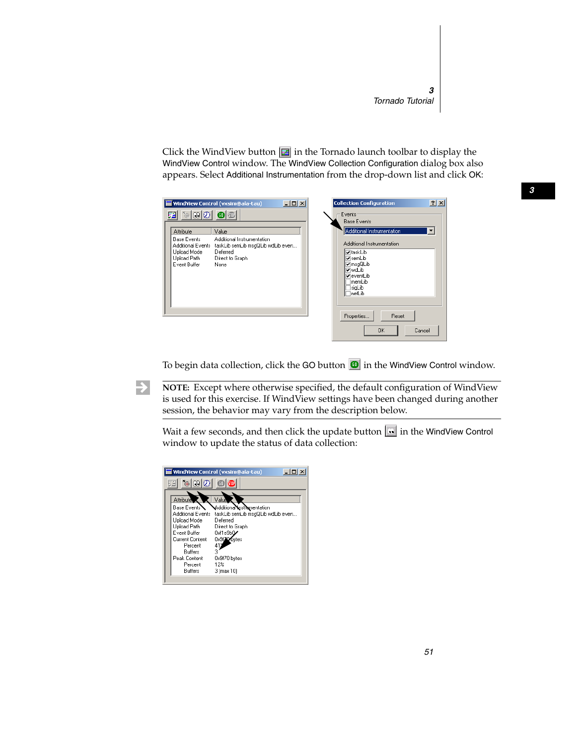Click the WindView button  $\Box$  in the Tornado launch toolbar to display the WindView Control window. The WindView Collection Configuration dialog box also appears. Select Additional Instrumentation from the drop-down list and click OK:

|                                                                                       | <b>WindView Control (vxsim@ala-tau)</b>                                                                | $-10x$ | <b>Collection Configuration</b>                                                                                                  | ? X    |
|---------------------------------------------------------------------------------------|--------------------------------------------------------------------------------------------------------|--------|----------------------------------------------------------------------------------------------------------------------------------|--------|
| $\circ$ 0 0 0 0<br>駋<br>Attribute                                                     | Value                                                                                                  |        | Events<br><b>Base Events</b><br>Additional Instrumentation                                                                       |        |
| <b>Base Events</b><br>Additional Events<br>Upload Mode<br>Upload Path<br>Event Buffer | Additional Instrumentation<br>taskLib semLib msqQLib wdLib even<br>Deferred<br>Direct to Graph<br>None |        | Additional Instrumentation<br>l⊽taskLib<br>l⊽semLib<br><b>⊽</b> msqQLib<br>l⊽wdLib<br>lyeventLib<br>1memLib<br>siaLib<br>1netLib |        |
|                                                                                       |                                                                                                        |        | Properties<br>Reset<br>0K                                                                                                        | Cancel |

To begin data collection, click the GO button  $\Box$  in the WindView Control window.

**NOTE:** Except where otherwise specified, the default configuration of WindView is used for this exercise. If WindView settings have been changed during another session, the behavior may vary from the description below.

Wait a few seconds, and then click the update button  $\lceil \cdot \cdot \rceil$  in the WindView Control window to update the status of data collection:



 $\rightarrow$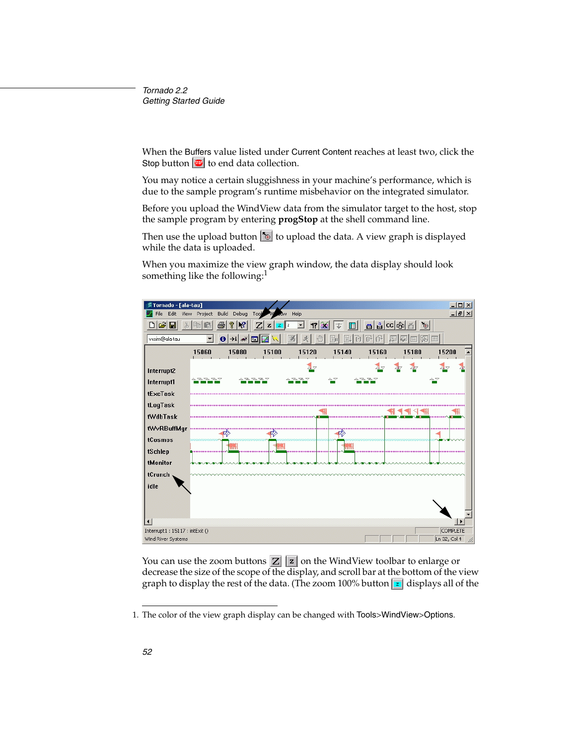When the Buffers value listed under Current Content reaches at least two, click the Stop button  $\mathbf{w}$  to end data collection.

You may notice a certain sluggishness in your machine's performance, which is due to the sample program's runtime misbehavior on the integrated simulator.

Before you upload the WindView data from the simulator target to the host, stop the sample program by entering **progStop** at the shell command line.

Then use the upload button  $\delta$  to upload the data. A view graph is displayed while the data is uploaded.

When you maximize the view graph window, the data display should look something like the following:<sup>1</sup>



You can use the zoom buttons  $\mathbf{Z} \mathbf{z}$  on the WindView toolbar to enlarge or decrease the size of the scope of the display, and scroll bar at the bottom of the view graph to display the rest of the data. (The zoom  $100\%$  button **z** displays all of the

<sup>1.</sup> The color of the view graph display can be changed with Tools>WindView>Options.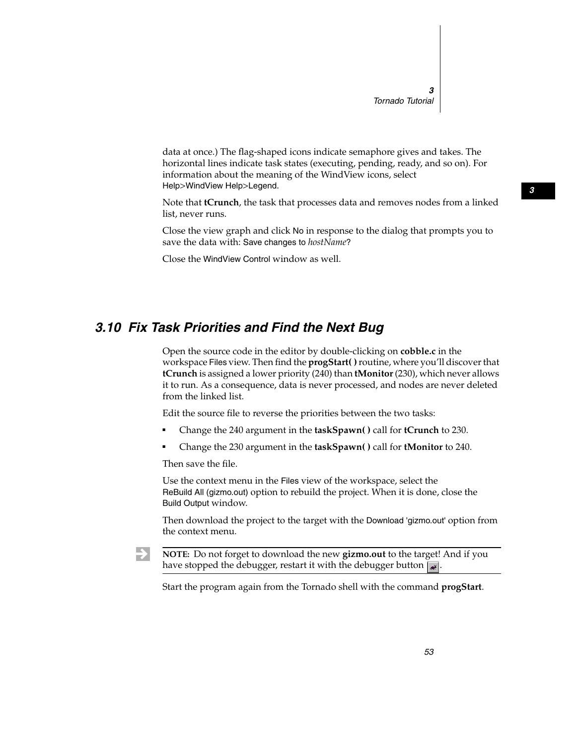data at once.) The flag-shaped icons indicate semaphore gives and takes. The horizontal lines indicate task states (executing, pending, ready, and so on). For information about the meaning of the WindView icons, select Help>WindView Help>Legend.

Note that **tCrunch**, the task that processes data and removes nodes from a linked list, never runs.

Close the view graph and click No in response to the dialog that prompts you to save the data with: Save changes to *hostName*?

Close the WindView Control window as well.

#### *3.10 Fix Task Priorities and Find the Next Bug*

Open the source code in the editor by double-clicking on **cobble.c** in the workspace Files view. Then find the **progStart( )**routine, where you'll discover that **tCrunch** is assigned a lower priority (240) than **tMonitor**(230), which never allows it to run. As a consequence, data is never processed, and nodes are never deleted from the linked list.

Edit the source file to reverse the priorities between the two tasks:

- Change the 240 argument in the **taskSpawn( )** call for **tCrunch** to 230.
- Change the 230 argument in the **taskSpawn( )** call for **tMonitor** to 240.

Then save the file.

Use the context menu in the Files view of the workspace, select the ReBuild All (gizmo.out) option to rebuild the project. When it is done, close the Build Output window.

Then download the project to the target with the Download 'gizmo.out' option from the context menu.

 $\rightarrow$ **NOTE:** Do not forget to download the new **gizmo.out** to the target! And if you have stopped the debugger, restart it with the debugger button  $\mathbf{w}$ .

Start the program again from the Tornado shell with the command **progStart**.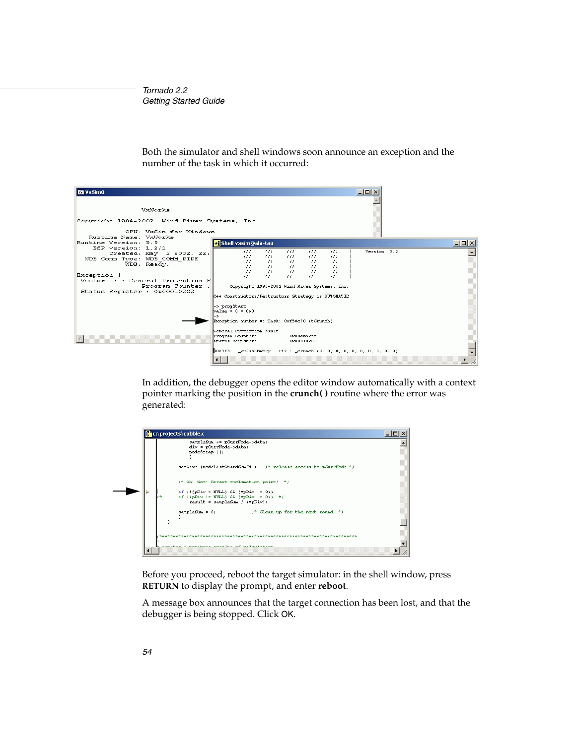

Both the simulator and shell windows soon announce an exception and the number of the task in which it occurred:

In addition, the debugger opens the editor window automatically with a context pointer marking the position in the **crunch( )** routine where the error was generated:

| sampleSum += pCurrHode->data;<br>div = pCurrNode->data;<br>nodeSerap ();                                                                                   |  |
|------------------------------------------------------------------------------------------------------------------------------------------------------------|--|
|                                                                                                                                                            |  |
| semGive (nodeListGuardSemId); /* release access to pCurrNode */                                                                                            |  |
| /* Oh! Woe! Errant exclamation point! */                                                                                                                   |  |
| if (!(pDiv = HULL) && (*pDiv != 0))<br>if $l$ (pDiv != NULL) && $(\uparrow_{\mathcal{D}}\text{Div}$ != 0)) $\uparrow$ /<br>$result = sampleSum / (*pDiv);$ |  |
| $sampleSum = 0;$<br>$/$ * Clean up for the next round. */<br>ь                                                                                             |  |

Before you proceed, reboot the target simulator: in the shell window, press **RETURN** to display the prompt, and enter **reboot**.

A message box announces that the target connection has been lost, and that the debugger is being stopped. Click OK.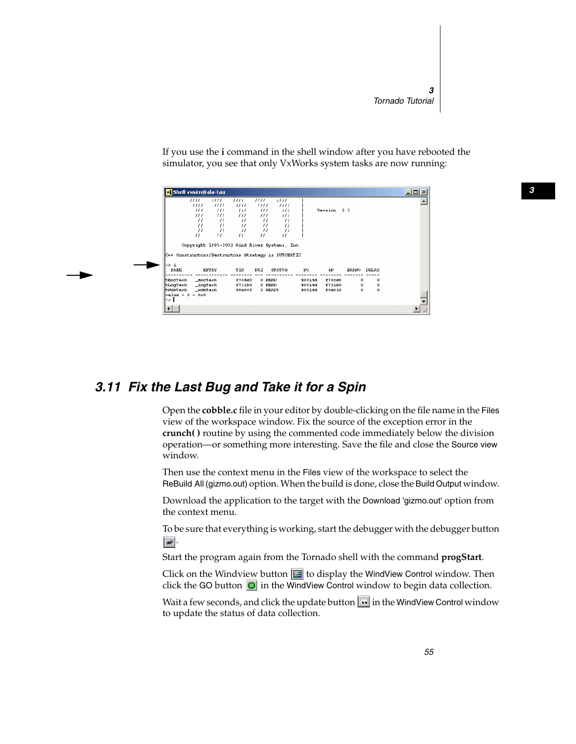If you use the **i** command in the shell window after you have rebooted the simulator, you see that only VxWorks system tasks are now running:

|                               | 1111.                      | 1111.            | 1111                                                                                               | 1111                             | ,,,,                             |                |             |             |              |  |
|-------------------------------|----------------------------|------------------|----------------------------------------------------------------------------------------------------|----------------------------------|----------------------------------|----------------|-------------|-------------|--------------|--|
|                               | III1                       | 1111             | 1111                                                                                               | 1111                             | 1111                             |                |             |             |              |  |
|                               | $\frac{1}{2}$              | III              | -111                                                                                               | $\frac{1}{2}$                    | -111                             |                | Version 2.2 |             |              |  |
|                               | $\frac{1}{2}$              | 777.             | $III$ $-$                                                                                          | -111                             | $\frac{1}{2}$                    |                |             |             |              |  |
|                               | $^{\prime\prime}$          | 77.              | $\mathcal{U}$                                                                                      | $^{\prime\prime}$                | $^{\prime}$                      |                |             |             |              |  |
|                               | $^{\prime}$                | $^{\prime}$      | $\mathcal{U}$                                                                                      | 77                               | $^{\prime}$                      |                |             |             |              |  |
|                               | $^{\prime}$<br>$^{\prime}$ | $^{\prime}$<br>Ħ | $^{\prime}$<br>$^{\prime\prime}$                                                                   | $^{\prime}$<br>$^{\prime\prime}$ | $^{\prime\prime}$<br>$^{\prime}$ |                |             |             |              |  |
|                               |                            |                  |                                                                                                    |                                  |                                  |                |             |             |              |  |
|                               |                            |                  | Copyright 1995-2002 Wind River Systems, Inc.<br>C++ Constructors/Destructors Strategy is AUTONATIC |                                  |                                  |                |             |             |              |  |
| -> i<br>NAME                  |                            | ENTRY            | TID                                                                                                | <b>PRI</b>                       | STATUS                           | $_{\text{PC}}$ | SP.         | ERRNO DELAY |              |  |
|                               |                            |                  | £78de0                                                                                             | $0$ PEND                         |                                  | 40814d         | f78ce0      | 0.          | 0            |  |
| tExcTask _excTask             |                            |                  | £732b0                                                                                             | $0$ PEND                         |                                  | 40814d         | f731b0      | 0           | 0            |  |
| tLogTask _logTask<br>tWdbTask | _udbTask                   |                  | £6∈668                                                                                             | 3 READY                          |                                  | 40814d         | f6e518      | 0.          | $\mathbf{0}$ |  |
| $value = 0 = 0x0$<br>l-> I    |                            |                  |                                                                                                    |                                  |                                  |                |             |             |              |  |

## *3.11 Fix the Last Bug and Take it for a Spin*

Open the **cobble.c** file in your editor by double-clicking on the file name in the Files view of the workspace window. Fix the source of the exception error in the **crunch( )** routine by using the commented code immediately below the division operation—or something more interesting. Save the file and close the Source view window.

Then use the context menu in the Files view of the workspace to select the ReBuild All (gizmo.out) option. When the build is done, close the Build Output window.

Download the application to the target with the Download 'gizmo.out' option from the context menu.

To be sure that everything is working, start the debugger with the debugger button  $\vert \bullet \rangle$ .

Start the program again from the Tornado shell with the command **progStart**.

Click on the Windview button  $\mathbf{E}$  to display the WindView Control window. Then click the GO button  $\bullet$  in the WindView Control window to begin data collection.

Wait a few seconds, and click the update button  $\mathbf{u}$  in the WindView Control window to update the status of data collection.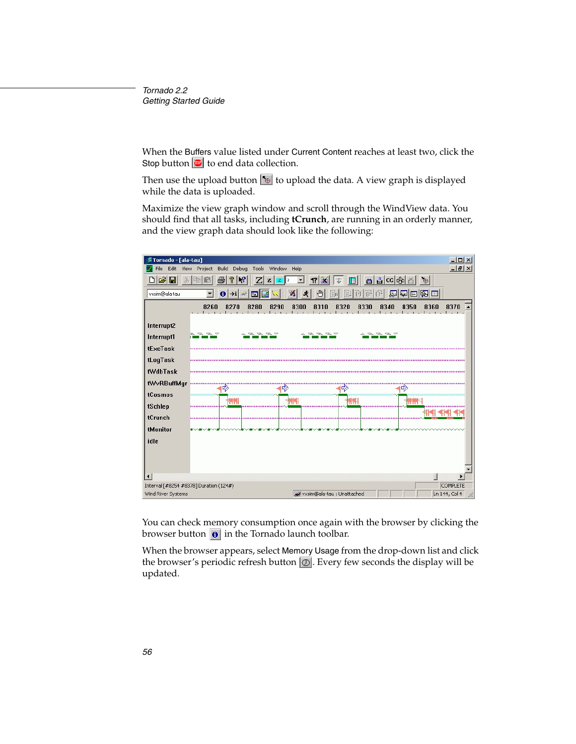When the Buffers value listed under Current Content reaches at least two, click the Stop button  $\boxed{\bullet}$  to end data collection.

Then use the upload button  $\delta$  to upload the data. A view graph is displayed while the data is uploaded.

Maximize the view graph window and scroll through the WindView data. You should find that all tasks, including **tCrunch**, are running in an orderly manner, and the view graph data should look like the following:

| Fornado - [ala-tau]                                                                                                                                                    |                         |                                               |                |                                                               |              |                 | $\Box$ D $\times$ |
|------------------------------------------------------------------------------------------------------------------------------------------------------------------------|-------------------------|-----------------------------------------------|----------------|---------------------------------------------------------------|--------------|-----------------|-------------------|
| Edit<br>File<br>View                                                                                                                                                   | <b>Build</b><br>Project | Debug<br>Tools                                | Window<br>Help |                                                               |              |                 | $\frac{1}{2}$     |
| c) di<br>P,<br>$\mathbf{F}$<br>립CC 46 조<br>ð<br>B.<br>$\bullet$<br>$\mathbf{Z}$<br>17<br>田<br>G<br>邑<br>$\mathbf{z}$<br>Ж<br>$\mathbf{2}$<br>$\blacktriangledown$<br>z |                         |                                               |                |                                                               |              |                 |                   |
| 國園<br>圆<br>$ 0 \rightarrow i $<br>圆<br>vxsim@ala-tau<br>M<br>₾<br>E<br>▼<br>к<br>55<br>欧                                                                               |                         |                                               |                |                                                               |              |                 |                   |
|                                                                                                                                                                        | 8260                    | 8270<br>8280                                  | 8290<br>8300   | 8310                                                          | 8320<br>8330 | 8340<br>8350    | 8370<br>8360      |
| Interrupt2                                                                                                                                                             |                         |                                               |                |                                                               |              |                 |                   |
| Interrupt1                                                                                                                                                             | P P P P                 | $\mathbb{Z} \mathbb{Z} \mathbb{Z} \mathbb{Z}$ |                | $\mathcal{L} \mathcal{L} \mathcal{L} \mathcal{L} \mathcal{L}$ | △            | $Z$ $Z$ $Z$ $Z$ |                   |
| tExcTask                                                                                                                                                               |                         |                                               |                |                                                               |              |                 |                   |
| tLogTask                                                                                                                                                               |                         |                                               |                |                                                               |              |                 |                   |
| <b>tWdbTask</b>                                                                                                                                                        |                         |                                               |                |                                                               |              |                 |                   |
| tWvRBuffMgr                                                                                                                                                            | ₽2                      |                                               | 42             |                                                               | 必            | ⊅               |                   |
| tCosmos                                                                                                                                                                |                         |                                               |                |                                                               |              |                 |                   |
| tSchlep                                                                                                                                                                |                         |                                               |                |                                                               |              | mm              |                   |
| tCrunch                                                                                                                                                                |                         |                                               |                |                                                               |              |                 |                   |
| tMonitor                                                                                                                                                               |                         |                                               |                |                                                               |              |                 |                   |
| idle                                                                                                                                                                   |                         |                                               |                |                                                               |              |                 |                   |
|                                                                                                                                                                        |                         |                                               |                |                                                               |              |                 |                   |
|                                                                                                                                                                        |                         |                                               |                |                                                               |              |                 |                   |
| $\overline{\bullet}$                                                                                                                                                   |                         |                                               |                |                                                               |              |                 | ▸                 |
| Interval [#8254 #8378] Duration (124#)                                                                                                                                 |                         |                                               |                |                                                               |              |                 | COMPLETE          |
| Wind River Systems                                                                                                                                                     |                         |                                               |                | we vxsim@ala-tau : Unattached                                 |              |                 | Ln 144, Col 4     |

You can check memory consumption once again with the browser by clicking the browser button  $\bullet$  in the Tornado launch toolbar.

When the browser appears, select Memory Usage from the drop-down list and click the browser's periodic refresh button  $\boxed{\circlearrowright}$ . Every few seconds the display will be updated.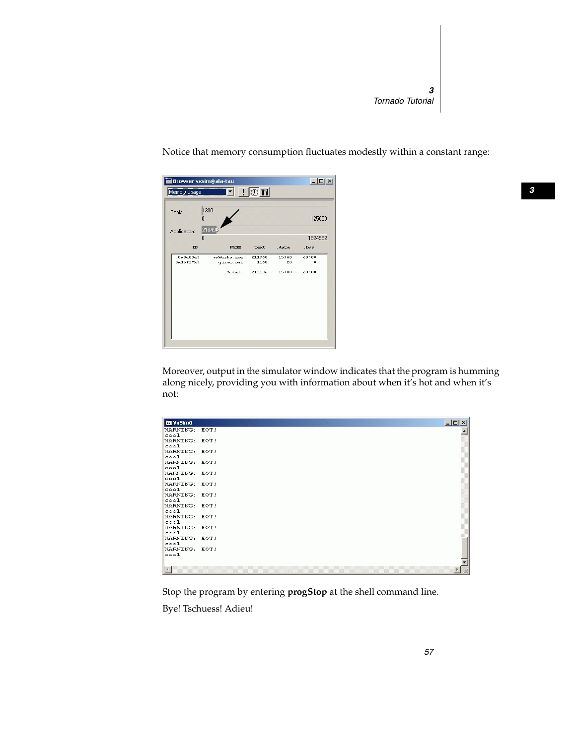| Browser vxsim@ala-tau |                                              |                |             | $ \Box$ $\times$      |
|-----------------------|----------------------------------------------|----------------|-------------|-----------------------|
| Memory Usage          | $\blacksquare$ $\blacksquare$ $\blacksquare$ |                |             |                       |
| Tools:                | 1300                                         |                |             |                       |
| n                     |                                              |                |             | 125000                |
| Application:          | 218496                                       |                |             |                       |
| n                     |                                              |                |             | 1824992               |
| $\mathbf{D}$          | NAME                                         | . text         | .data       | $_{\text{loss}}$      |
| 0x3d83e0<br>0x15f37b0 | vošilo zks. exce<br>gizmo.out                | 211968<br>1168 | 15360<br>20 | 63708<br>$\mathbf{0}$ |
|                       | $T 1:$                                       | 213136         | 15380       | 63708                 |
|                       |                                              |                |             |                       |
|                       |                                              |                |             |                       |
|                       |                                              |                |             |                       |
|                       |                                              |                |             |                       |
|                       |                                              |                |             |                       |
|                       |                                              |                |             |                       |
|                       |                                              |                |             |                       |

Notice that memory consumption fluctuates modestly within a constant range:

Moreover, output in the simulator window indicates that the program is humming along nicely, providing you with information about when it's hot and when it's not:

| <b>DE VxSimO</b>          | $   $ $  $ $\times$ $ $ |
|---------------------------|-------------------------|
|                           |                         |
| WARNING: HOT!             |                         |
| cool                      |                         |
| WARNING: HOT!             |                         |
| cool                      |                         |
| WARNING: HOT!             |                         |
| cool                      |                         |
| WARNING: HOT!<br>$\cos 1$ |                         |
| WARNING: HOT!             |                         |
| cool                      |                         |
| WARNING: HOT!             |                         |
| cool                      |                         |
| WARNING: HOT!             |                         |
| cool                      |                         |
| WARNING: HOT!             |                         |
| cool                      |                         |
| WARNING: HOT!             |                         |
| cool                      |                         |
| WARNING: HOT!             |                         |
| cool                      |                         |
| WARNING: HOT!             |                         |
| cool                      |                         |
| WARNING: HOT!             |                         |
| cool                      |                         |
|                           |                         |
| $\overline{4}$            |                         |
|                           |                         |

Stop the program by entering **progStop** at the shell command line.

Bye! Tschuess! Adieu!

*3*